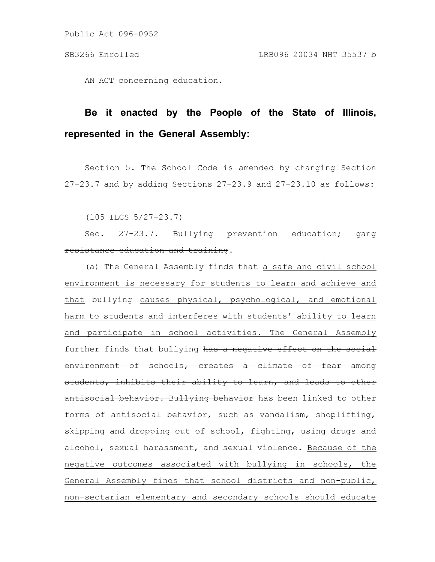Public Act 096-0952

AN ACT concerning education.

## **Be it enacted by the People of the State of Illinois, represented in the General Assembly:**

Section 5. The School Code is amended by changing Section 27-23.7 and by adding Sections 27-23.9 and 27-23.10 as follows:

(105 ILCS 5/27-23.7)

Sec. 27-23.7. Bullying prevention education; gang resistance education and training.

(a) The General Assembly finds that a safe and civil school environment is necessary for students to learn and achieve and that bullying causes physical, psychological, and emotional harm to students and interferes with students' ability to learn and participate in school activities. The General Assembly further finds that bullying has a negative effect on the social environment of schools, creates a climate of fear among students, inhibits their ability to learn, and leads to other antisocial behavior. Bullying behavior has been linked to other forms of antisocial behavior, such as vandalism, shoplifting, skipping and dropping out of school, fighting, using drugs and alcohol, sexual harassment, and sexual violence. Because of the negative outcomes associated with bullying in schools, the General Assembly finds that school districts and non-public, non-sectarian elementary and secondary schools should educate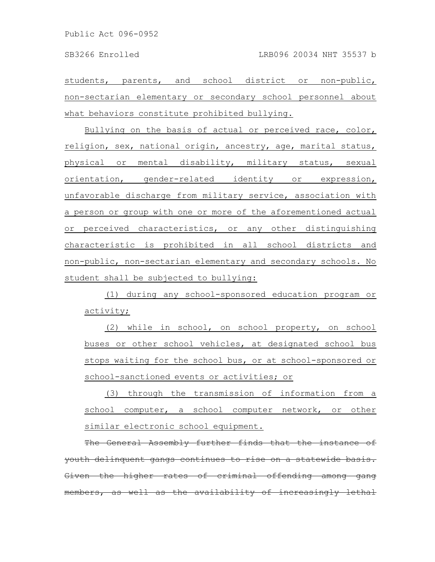students, parents, and school district or non-public, non-sectarian elementary or secondary school personnel about what behaviors constitute prohibited bullying.

Bullying on the basis of actual or perceived race, color, religion, sex, national origin, ancestry, age, marital status, physical or mental disability, military status, sexual orientation, gender-related identity or expression, unfavorable discharge from military service, association with a person or group with one or more of the aforementioned actual or perceived characteristics, or any other distinguishing characteristic is prohibited in all school districts and non-public, non-sectarian elementary and secondary schools. No student shall be subjected to bullying:

(1) during any school-sponsored education program or activity;

(2) while in school, on school property, on school buses or other school vehicles, at designated school bus stops waiting for the school bus, or at school-sponsored or school-sanctioned events or activities; or

(3) through the transmission of information from a school computer, a school computer network, or other similar electronic school equipment.

The General Assembly further finds that the instance youth delinquent gangs continues to rise on a statewide bas ven the higher rates of criminal offending embers, as well as the availability of increasingly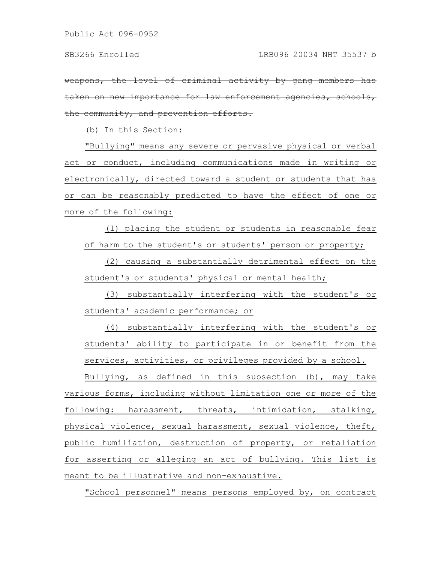weapons, the level of criminal activity taken on new importance for law enforcement agencies, schools, the community, and prevention efforts.

(b) In this Section:

"Bullying" means any severe or pervasive physical or verbal act or conduct, including communications made in writing or electronically, directed toward a student or students that has or can be reasonably predicted to have the effect of one or more of the following:

(1) placing the student or students in reasonable fear of harm to the student's or students' person or property;

(2) causing a substantially detrimental effect on the student's or students' physical or mental health;

(3) substantially interfering with the student's or students' academic performance; or

(4) substantially interfering with the student's or students' ability to participate in or benefit from the services, activities, or privileges provided by a school.

Bullying, as defined in this subsection (b), may take various forms, including without limitation one or more of the following: harassment, threats, intimidation, stalking, physical violence, sexual harassment, sexual violence, theft, public humiliation, destruction of property, or retaliation for asserting or alleging an act of bullying. This list is meant to be illustrative and non-exhaustive.

"School personnel" means persons employed by, on contract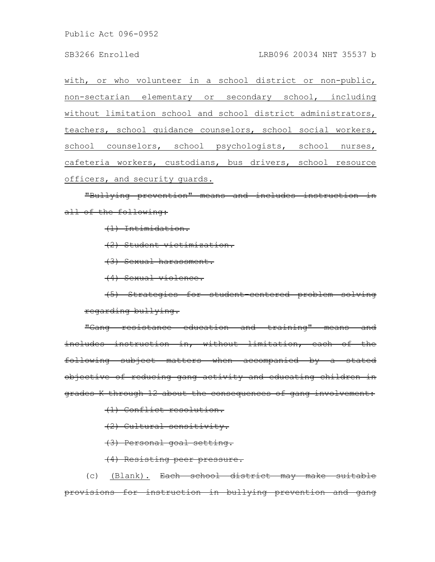Public Act 096-0952

with, or who volunteer in a school district or non-public, non-sectarian elementary or secondary school, including without limitation school and school district administrators, teachers, school guidance counselors, school social workers, school counselors, school psychologists, school nurses, cafeteria workers, custodians, bus drivers, school resource officers, and security guards.

"Bullying prevention" means and includes instruction all of the following:

(1) Intimidation.

(2) Student victimization.

(3) Sexual harassment.

(4) Sexual violence.

(5) Strategies for student-centered problem solving regarding bullying.

"Gang resistance education and training" means and includes instruction in, without limitation, each of the following subject matters when accompanied by a stated objective of reducing gang activity and educating children in grades K through 12 about the consequences of gang involvement:

(1) Conflict resolution.

(2) Cultural sensitivity.

(3) Personal goal setting.

(4) Resisting peer pressure.

(c) (Blank). Each school district may make suitable provisions for instruction in bullying prevention and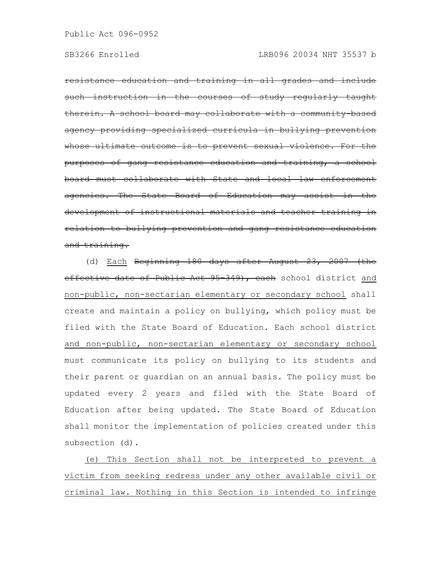resistance education and training in all grades and include instruction in the courses of study regularly therein. A school board may collaborate with a agency providing specialized curricula in bullying whose ultimate outcome is to prevent sexual purposes of gang resistance education and training, a school board must collaborate with State and local law enforcement agencies. The State Board of Education may assi development of instructional materials and teacher train relation to bullying prevention and gang resistance education and training.

(d) Each Beginning 180 days after August 23, 2007 (the effective date of Public Act 95-349), each school district and non-public, non-sectarian elementary or secondary school shall create and maintain a policy on bullying, which policy must be filed with the State Board of Education. Each school district and non-public, non-sectarian elementary or secondary school must communicate its policy on bullying to its students and their parent or guardian on an annual basis. The policy must be updated every 2 years and filed with the State Board of Education after being updated. The State Board of Education shall monitor the implementation of policies created under this subsection (d).

(e) This Section shall not be interpreted to prevent a victim from seeking redress under any other available civil or criminal law. Nothing in this Section is intended to infringe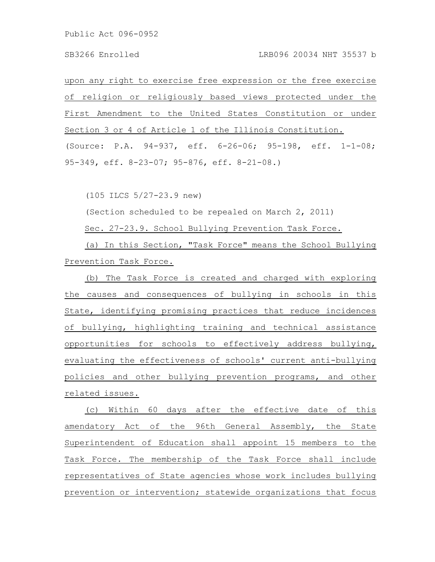upon any right to exercise free expression or the free exercise of religion or religiously based views protected under the First Amendment to the United States Constitution or under Section 3 or 4 of Article 1 of the Illinois Constitution. (Source: P.A. 94-937, eff. 6-26-06; 95-198, eff. 1-1-08; 95-349, eff. 8-23-07; 95-876, eff. 8-21-08.)

(105 ILCS 5/27-23.9 new)

(Section scheduled to be repealed on March 2, 2011)

Sec. 27-23.9. School Bullying Prevention Task Force.

(a) In this Section, "Task Force" means the School Bullying Prevention Task Force.

(b) The Task Force is created and charged with exploring the causes and consequences of bullying in schools in this State, identifying promising practices that reduce incidences of bullying, highlighting training and technical assistance opportunities for schools to effectively address bullying, evaluating the effectiveness of schools' current anti-bullying policies and other bullying prevention programs, and other related issues.

(c) Within 60 days after the effective date of this amendatory Act of the 96th General Assembly, the State Superintendent of Education shall appoint 15 members to the Task Force. The membership of the Task Force shall include representatives of State agencies whose work includes bullying prevention or intervention; statewide organizations that focus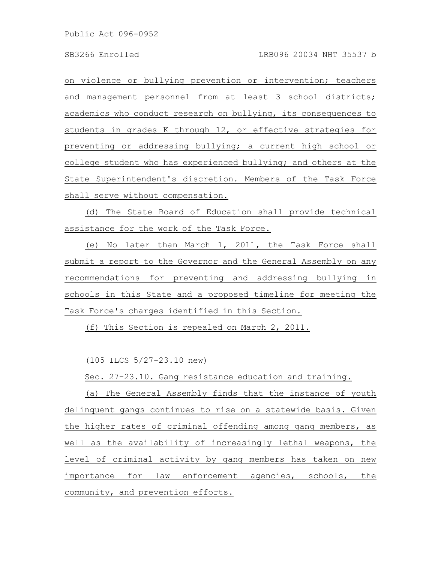on violence or bullying prevention or intervention; teachers and management personnel from at least 3 school districts; academics who conduct research on bullying, its consequences to students in grades K through 12, or effective strategies for preventing or addressing bullying; a current high school or college student who has experienced bullying; and others at the State Superintendent's discretion. Members of the Task Force shall serve without compensation.

(d) The State Board of Education shall provide technical assistance for the work of the Task Force.

(e) No later than March 1, 2011, the Task Force shall submit a report to the Governor and the General Assembly on any recommendations for preventing and addressing bullying in schools in this State and a proposed timeline for meeting the Task Force's charges identified in this Section.

(f) This Section is repealed on March 2, 2011.

(105 ILCS 5/27-23.10 new)

Sec. 27-23.10. Gang resistance education and training.

(a) The General Assembly finds that the instance of youth delinquent gangs continues to rise on a statewide basis. Given the higher rates of criminal offending among gang members, as well as the availability of increasingly lethal weapons, the level of criminal activity by gang members has taken on new importance for law enforcement agencies, schools, the community, and prevention efforts.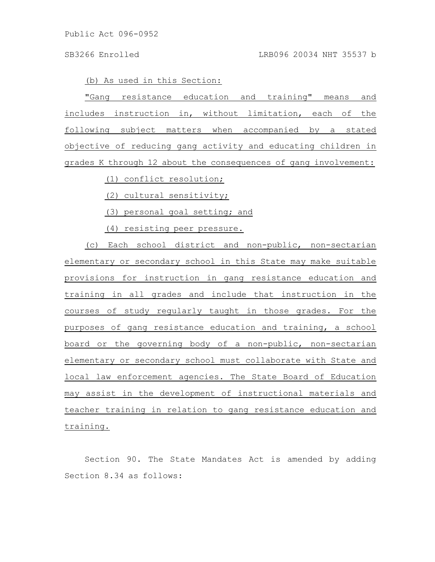(b) As used in this Section:

"Gang resistance education and training" means and includes instruction in, without limitation, each of the following subject matters when accompanied by a stated objective of reducing gang activity and educating children in grades K through 12 about the consequences of gang involvement:

(1) conflict resolution;

(2) cultural sensitivity;

(3) personal goal setting; and

(4) resisting peer pressure.

(c) Each school district and non-public, non-sectarian elementary or secondary school in this State may make suitable provisions for instruction in gang resistance education and training in all grades and include that instruction in the courses of study regularly taught in those grades. For the purposes of gang resistance education and training, a school board or the governing body of a non-public, non-sectarian elementary or secondary school must collaborate with State and local law enforcement agencies. The State Board of Education may assist in the development of instructional materials and teacher training in relation to gang resistance education and training.

Section 90. The State Mandates Act is amended by adding Section 8.34 as follows: